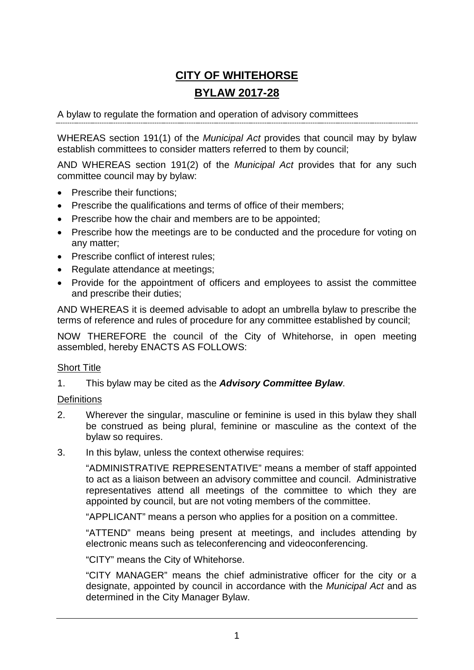# **CITY OF WHITEHORSE BYLAW 2017-28**

A bylaw to regulate the formation and operation of advisory committees

WHEREAS section 191(1) of the *Municipal Act* provides that council may by bylaw establish committees to consider matters referred to them by council;

AND WHEREAS section 191(2) of the *Municipal Act* provides that for any such committee council may by bylaw:

- Prescribe their functions:
- Prescribe the qualifications and terms of office of their members;
- Prescribe how the chair and members are to be appointed;
- Prescribe how the meetings are to be conducted and the procedure for voting on any matter;
- Prescribe conflict of interest rules;
- Regulate attendance at meetings:
- Provide for the appointment of officers and employees to assist the committee and prescribe their duties;

AND WHEREAS it is deemed advisable to adopt an umbrella bylaw to prescribe the terms of reference and rules of procedure for any committee established by council;

NOW THEREFORE the council of the City of Whitehorse, in open meeting assembled, hereby ENACTS AS FOLLOWS:

#### Short Title

1. This bylaw may be cited as the *Advisory Committee Bylaw*.

#### **Definitions**

- 2. Wherever the singular, masculine or feminine is used in this bylaw they shall be construed as being plural, feminine or masculine as the context of the bylaw so requires.
- 3. In this bylaw, unless the context otherwise requires:

"ADMINISTRATIVE REPRESENTATIVE" means a member of staff appointed to act as a liaison between an advisory committee and council. Administrative representatives attend all meetings of the committee to which they are appointed by council, but are not voting members of the committee.

"APPLICANT" means a person who applies for a position on a committee.

"ATTEND" means being present at meetings, and includes attending by electronic means such as teleconferencing and videoconferencing.

"CITY" means the City of Whitehorse.

"CITY MANAGER" means the chief administrative officer for the city or a designate, appointed by council in accordance with the *Municipal Act* and as determined in the City Manager Bylaw.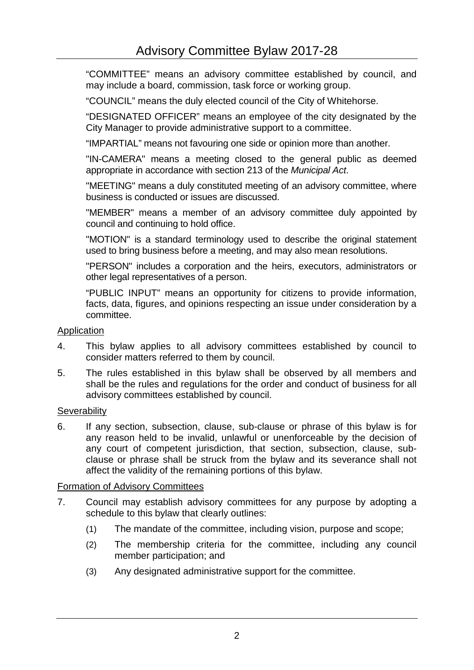"COMMITTEE" means an advisory committee established by council, and may include a board, commission, task force or working group.

"COUNCIL" means the duly elected council of the City of Whitehorse.

"DESIGNATED OFFICER" means an employee of the city designated by the City Manager to provide administrative support to a committee.

"IMPARTIAL" means not favouring one side or opinion more than another.

"IN-CAMERA" means a meeting closed to the general public as deemed appropriate in accordance with section 213 of the *Municipal Act*.

"MEETING" means a duly constituted meeting of an advisory committee, where business is conducted or issues are discussed.

"MEMBER" means a member of an advisory committee duly appointed by council and continuing to hold office.

"MOTION" is a standard terminology used to describe the original statement used to bring business before a meeting, and may also mean resolutions.

"PERSON" includes a corporation and the heirs, executors, administrators or other legal representatives of a person.

"PUBLIC INPUT" means an opportunity for citizens to provide information, facts, data, figures, and opinions respecting an issue under consideration by a committee.

#### **Application**

- 4. This bylaw applies to all advisory committees established by council to consider matters referred to them by council.
- 5. The rules established in this bylaw shall be observed by all members and shall be the rules and regulations for the order and conduct of business for all advisory committees established by council.

#### **Severability**

6. If any section, subsection, clause, sub-clause or phrase of this bylaw is for any reason held to be invalid, unlawful or unenforceable by the decision of any court of competent jurisdiction, that section, subsection, clause, subclause or phrase shall be struck from the bylaw and its severance shall not affect the validity of the remaining portions of this bylaw.

#### Formation of Advisory Committees

- 7. Council may establish advisory committees for any purpose by adopting a schedule to this bylaw that clearly outlines:
	- (1) The mandate of the committee, including vision, purpose and scope;
	- (2) The membership criteria for the committee, including any council member participation; and
	- (3) Any designated administrative support for the committee.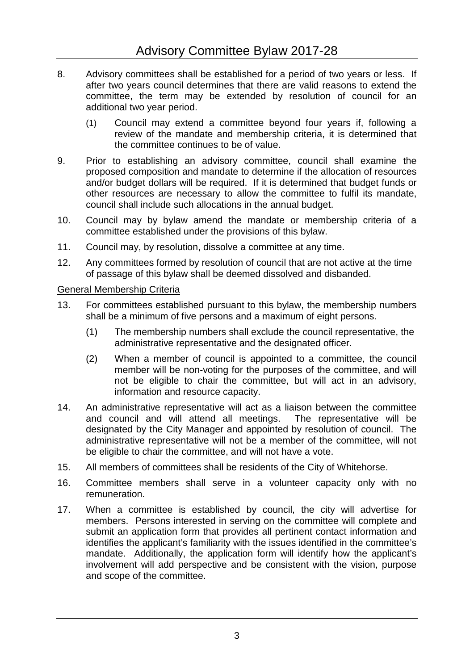- 8. Advisory committees shall be established for a period of two years or less. If after two years council determines that there are valid reasons to extend the committee, the term may be extended by resolution of council for an additional two year period.
	- (1) Council may extend a committee beyond four years if, following a review of the mandate and membership criteria, it is determined that the committee continues to be of value.
- 9. Prior to establishing an advisory committee, council shall examine the proposed composition and mandate to determine if the allocation of resources and/or budget dollars will be required. If it is determined that budget funds or other resources are necessary to allow the committee to fulfil its mandate, council shall include such allocations in the annual budget.
- 10. Council may by bylaw amend the mandate or membership criteria of a committee established under the provisions of this bylaw.
- 11. Council may, by resolution, dissolve a committee at any time.
- 12. Any committees formed by resolution of council that are not active at the time of passage of this bylaw shall be deemed dissolved and disbanded.

## General Membership Criteria

- 13. For committees established pursuant to this bylaw, the membership numbers shall be a minimum of five persons and a maximum of eight persons.
	- (1) The membership numbers shall exclude the council representative, the administrative representative and the designated officer.
	- (2) When a member of council is appointed to a committee, the council member will be non-voting for the purposes of the committee, and will not be eligible to chair the committee, but will act in an advisory, information and resource capacity.
- 14. An administrative representative will act as a liaison between the committee and council and will attend all meetings. The representative will be designated by the City Manager and appointed by resolution of council. The administrative representative will not be a member of the committee, will not be eligible to chair the committee, and will not have a vote.
- 15. All members of committees shall be residents of the City of Whitehorse.
- 16. Committee members shall serve in a volunteer capacity only with no remuneration.
- 17. When a committee is established by council, the city will advertise for members. Persons interested in serving on the committee will complete and submit an application form that provides all pertinent contact information and identifies the applicant's familiarity with the issues identified in the committee's mandate. Additionally, the application form will identify how the applicant's involvement will add perspective and be consistent with the vision, purpose and scope of the committee.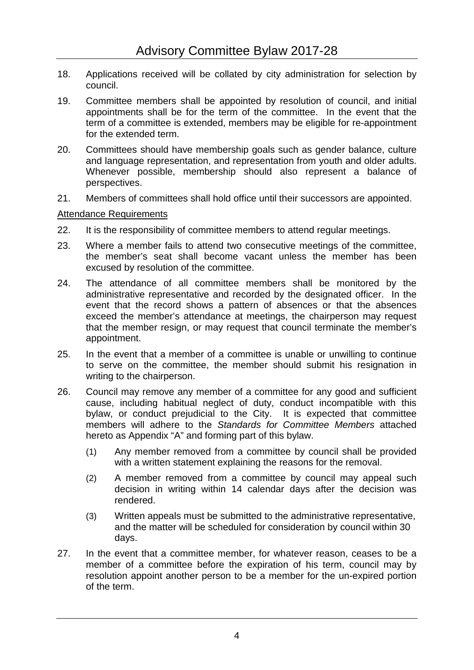- 18. Applications received will be collated by city administration for selection by council.
- 19. Committee members shall be appointed by resolution of council, and initial appointments shall be for the term of the committee. In the event that the term of a committee is extended, members may be eligible for re-appointment for the extended term.
- 20. Committees should have membership goals such as gender balance, culture and language representation, and representation from youth and older adults. Whenever possible, membership should also represent a balance of perspectives.
- 21. Members of committees shall hold office until their successors are appointed.

#### Attendance Requirements

- 22. It is the responsibility of committee members to attend regular meetings.
- 23. Where a member fails to attend two consecutive meetings of the committee, the member's seat shall become vacant unless the member has been excused by resolution of the committee.
- 24. The attendance of all committee members shall be monitored by the administrative representative and recorded by the designated officer. In the event that the record shows a pattern of absences or that the absences exceed the member's attendance at meetings, the chairperson may request that the member resign, or may request that council terminate the member's appointment.
- 25. In the event that a member of a committee is unable or unwilling to continue to serve on the committee, the member should submit his resignation in writing to the chairperson.
- 26. Council may remove any member of a committee for any good and sufficient cause, including habitual neglect of duty, conduct incompatible with this bylaw, or conduct prejudicial to the City. It is expected that committee members will adhere to the *Standards for Committee Members* attached hereto as Appendix "A" and forming part of this bylaw.
	- (1) Any member removed from a committee by council shall be provided with a written statement explaining the reasons for the removal.
	- (2) A member removed from a committee by council may appeal such decision in writing within 14 calendar days after the decision was rendered.
	- (3) Written appeals must be submitted to the administrative representative, and the matter will be scheduled for consideration by council within 30 days.
- 27. In the event that a committee member, for whatever reason, ceases to be a member of a committee before the expiration of his term, council may by resolution appoint another person to be a member for the un-expired portion of the term.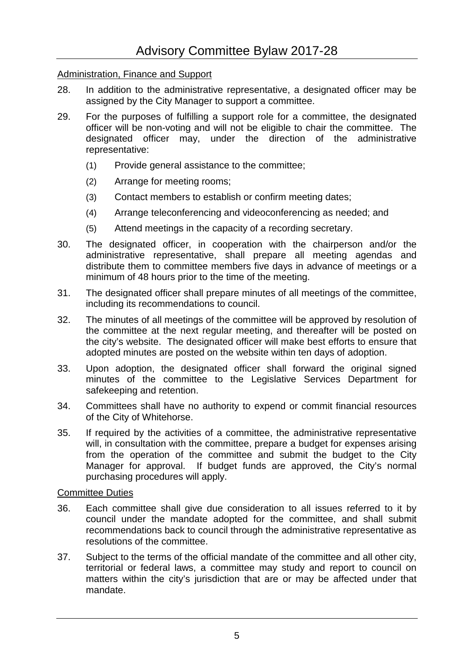## Administration, Finance and Support

- 28. In addition to the administrative representative, a designated officer may be assigned by the City Manager to support a committee.
- 29. For the purposes of fulfilling a support role for a committee, the designated officer will be non-voting and will not be eligible to chair the committee. The designated officer may, under the direction of the administrative representative:
	- (1) Provide general assistance to the committee;
	- (2) Arrange for meeting rooms;
	- (3) Contact members to establish or confirm meeting dates;
	- (4) Arrange teleconferencing and videoconferencing as needed; and
	- (5) Attend meetings in the capacity of a recording secretary.
- 30. The designated officer, in cooperation with the chairperson and/or the administrative representative, shall prepare all meeting agendas and distribute them to committee members five days in advance of meetings or a minimum of 48 hours prior to the time of the meeting.
- 31. The designated officer shall prepare minutes of all meetings of the committee, including its recommendations to council.
- 32. The minutes of all meetings of the committee will be approved by resolution of the committee at the next regular meeting, and thereafter will be posted on the city's website. The designated officer will make best efforts to ensure that adopted minutes are posted on the website within ten days of adoption.
- 33. Upon adoption, the designated officer shall forward the original signed minutes of the committee to the Legislative Services Department for safekeeping and retention.
- 34. Committees shall have no authority to expend or commit financial resources of the City of Whitehorse.
- 35. If required by the activities of a committee, the administrative representative will, in consultation with the committee, prepare a budget for expenses arising from the operation of the committee and submit the budget to the City Manager for approval. If budget funds are approved, the City's normal purchasing procedures will apply.

#### Committee Duties

- 36. Each committee shall give due consideration to all issues referred to it by council under the mandate adopted for the committee, and shall submit recommendations back to council through the administrative representative as resolutions of the committee.
- 37. Subject to the terms of the official mandate of the committee and all other city, territorial or federal laws, a committee may study and report to council on matters within the city's jurisdiction that are or may be affected under that mandate.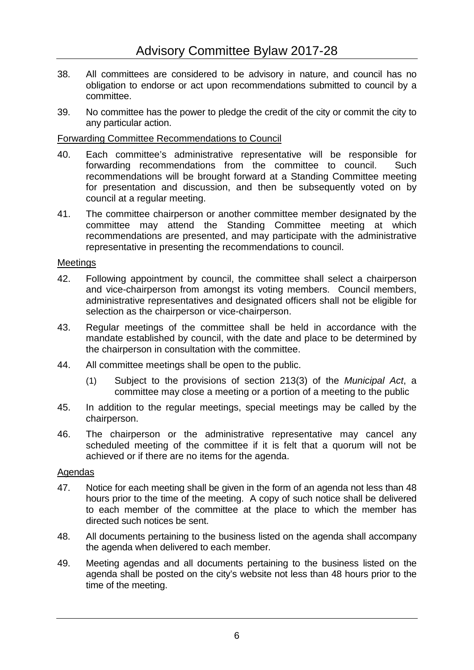- 38. All committees are considered to be advisory in nature, and council has no obligation to endorse or act upon recommendations submitted to council by a committee.
- 39. No committee has the power to pledge the credit of the city or commit the city to any particular action.

## Forwarding Committee Recommendations to Council

- 40. Each committee's administrative representative will be responsible for forwarding recommendations from the committee to council. Such recommendations will be brought forward at a Standing Committee meeting for presentation and discussion, and then be subsequently voted on by council at a regular meeting.
- 41. The committee chairperson or another committee member designated by the committee may attend the Standing Committee meeting at which recommendations are presented, and may participate with the administrative representative in presenting the recommendations to council.

## **Meetings**

- 42. Following appointment by council, the committee shall select a chairperson and vice-chairperson from amongst its voting members. Council members, administrative representatives and designated officers shall not be eligible for selection as the chairperson or vice-chairperson.
- 43. Regular meetings of the committee shall be held in accordance with the mandate established by council, with the date and place to be determined by the chairperson in consultation with the committee.
- 44. All committee meetings shall be open to the public.
	- (1) Subject to the provisions of section 213(3) of the *Municipal Act*, a committee may close a meeting or a portion of a meeting to the public
- 45. In addition to the regular meetings, special meetings may be called by the chairperson.
- 46. The chairperson or the administrative representative may cancel any scheduled meeting of the committee if it is felt that a quorum will not be achieved or if there are no items for the agenda.

## Agendas

- 47. Notice for each meeting shall be given in the form of an agenda not less than 48 hours prior to the time of the meeting. A copy of such notice shall be delivered to each member of the committee at the place to which the member has directed such notices be sent.
- 48. All documents pertaining to the business listed on the agenda shall accompany the agenda when delivered to each member.
- 49. Meeting agendas and all documents pertaining to the business listed on the agenda shall be posted on the city's website not less than 48 hours prior to the time of the meeting.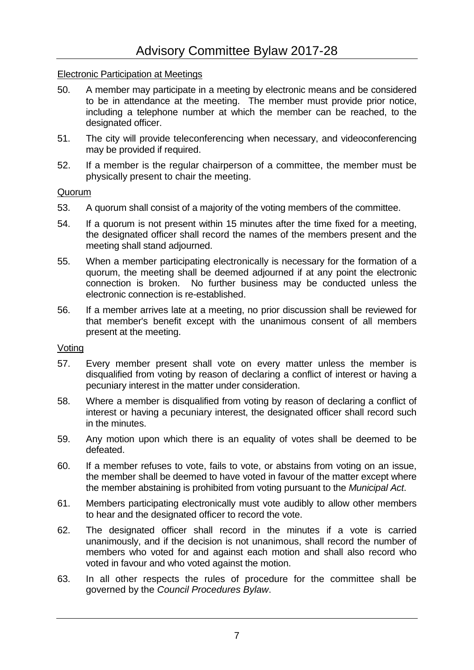#### Electronic Participation at Meetings

- 50. A member may participate in a meeting by electronic means and be considered to be in attendance at the meeting. The member must provide prior notice, including a telephone number at which the member can be reached, to the designated officer.
- 51. The city will provide teleconferencing when necessary, and videoconferencing may be provided if required.
- 52. If a member is the regular chairperson of a committee, the member must be physically present to chair the meeting.

#### Quorum

- 53. A quorum shall consist of a majority of the voting members of the committee.
- 54. If a quorum is not present within 15 minutes after the time fixed for a meeting, the designated officer shall record the names of the members present and the meeting shall stand adjourned.
- 55. When a member participating electronically is necessary for the formation of a quorum, the meeting shall be deemed adjourned if at any point the electronic connection is broken. No further business may be conducted unless the electronic connection is re-established.
- 56. If a member arrives late at a meeting, no prior discussion shall be reviewed for that member's benefit except with the unanimous consent of all members present at the meeting.

#### Voting

- 57. Every member present shall vote on every matter unless the member is disqualified from voting by reason of declaring a conflict of interest or having a pecuniary interest in the matter under consideration.
- 58. Where a member is disqualified from voting by reason of declaring a conflict of interest or having a pecuniary interest, the designated officer shall record such in the minutes.
- 59. Any motion upon which there is an equality of votes shall be deemed to be defeated.
- 60. If a member refuses to vote, fails to vote, or abstains from voting on an issue, the member shall be deemed to have voted in favour of the matter except where the member abstaining is prohibited from voting pursuant to the *Municipal Act*.
- 61. Members participating electronically must vote audibly to allow other members to hear and the designated officer to record the vote.
- 62. The designated officer shall record in the minutes if a vote is carried unanimously, and if the decision is not unanimous, shall record the number of members who voted for and against each motion and shall also record who voted in favour and who voted against the motion.
- 63. In all other respects the rules of procedure for the committee shall be governed by the *Council Procedures Bylaw*.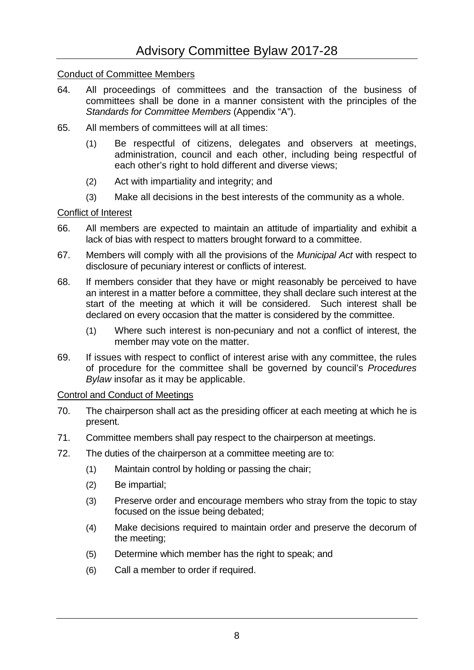### Conduct of Committee Members

- 64. All proceedings of committees and the transaction of the business of committees shall be done in a manner consistent with the principles of the *Standards for Committee Members* (Appendix "A").
- 65. All members of committees will at all times:
	- (1) Be respectful of citizens, delegates and observers at meetings, administration, council and each other, including being respectful of each other's right to hold different and diverse views;
	- (2) Act with impartiality and integrity; and
	- (3) Make all decisions in the best interests of the community as a whole.

#### Conflict of Interest

- 66. All members are expected to maintain an attitude of impartiality and exhibit a lack of bias with respect to matters brought forward to a committee.
- 67. Members will comply with all the provisions of the *Municipal Act* with respect to disclosure of pecuniary interest or conflicts of interest.
- 68. If members consider that they have or might reasonably be perceived to have an interest in a matter before a committee, they shall declare such interest at the start of the meeting at which it will be considered. Such interest shall be declared on every occasion that the matter is considered by the committee.
	- (1) Where such interest is non-pecuniary and not a conflict of interest, the member may vote on the matter.
- 69. If issues with respect to conflict of interest arise with any committee, the rules of procedure for the committee shall be governed by council's *Procedures Bylaw* insofar as it may be applicable.

#### Control and Conduct of Meetings

- 70. The chairperson shall act as the presiding officer at each meeting at which he is present.
- 71. Committee members shall pay respect to the chairperson at meetings.
- 72. The duties of the chairperson at a committee meeting are to:
	- (1) Maintain control by holding or passing the chair;
	- (2) Be impartial;
	- (3) Preserve order and encourage members who stray from the topic to stay focused on the issue being debated;
	- (4) Make decisions required to maintain order and preserve the decorum of the meeting;
	- (5) Determine which member has the right to speak; and
	- (6) Call a member to order if required.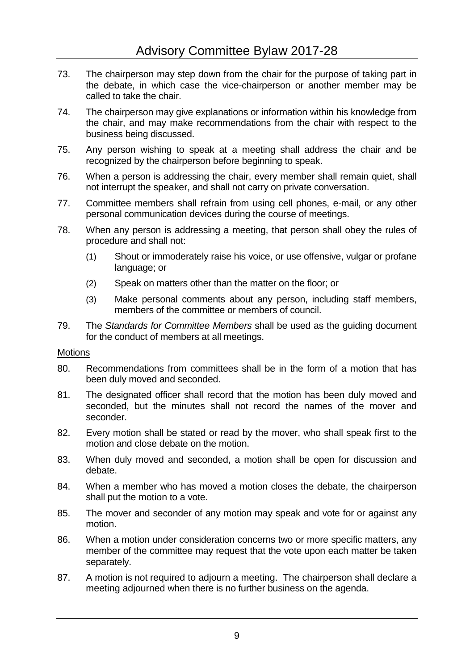- 73. The chairperson may step down from the chair for the purpose of taking part in the debate, in which case the vice-chairperson or another member may be called to take the chair.
- 74. The chairperson may give explanations or information within his knowledge from the chair, and may make recommendations from the chair with respect to the business being discussed.
- 75. Any person wishing to speak at a meeting shall address the chair and be recognized by the chairperson before beginning to speak.
- 76. When a person is addressing the chair, every member shall remain quiet, shall not interrupt the speaker, and shall not carry on private conversation.
- 77. Committee members shall refrain from using cell phones, e-mail, or any other personal communication devices during the course of meetings.
- 78. When any person is addressing a meeting, that person shall obey the rules of procedure and shall not:
	- (1) Shout or immoderately raise his voice, or use offensive, vulgar or profane language; or
	- (2) Speak on matters other than the matter on the floor; or
	- (3) Make personal comments about any person, including staff members, members of the committee or members of council.
- 79. The *Standards for Committee Members* shall be used as the guiding document for the conduct of members at all meetings.

#### **Motions**

- 80. Recommendations from committees shall be in the form of a motion that has been duly moved and seconded.
- 81. The designated officer shall record that the motion has been duly moved and seconded, but the minutes shall not record the names of the mover and seconder.
- 82. Every motion shall be stated or read by the mover, who shall speak first to the motion and close debate on the motion.
- 83. When duly moved and seconded, a motion shall be open for discussion and debate.
- 84. When a member who has moved a motion closes the debate, the chairperson shall put the motion to a vote.
- 85. The mover and seconder of any motion may speak and vote for or against any motion.
- 86. When a motion under consideration concerns two or more specific matters, any member of the committee may request that the vote upon each matter be taken separately.
- 87. A motion is not required to adjourn a meeting. The chairperson shall declare a meeting adjourned when there is no further business on the agenda.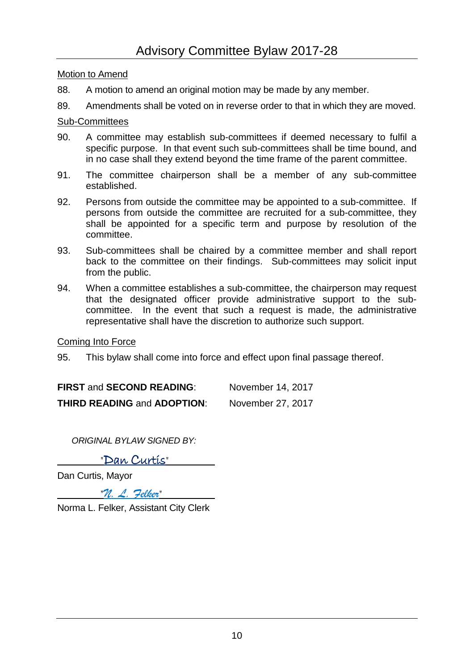Motion to Amend

- 88. A motion to amend an original motion may be made by any member.
- 89. Amendments shall be voted on in reverse order to that in which they are moved.

#### Sub-Committees

- 90. A committee may establish sub-committees if deemed necessary to fulfil a specific purpose. In that event such sub-committees shall be time bound, and in no case shall they extend beyond the time frame of the parent committee.
- 91. The committee chairperson shall be a member of any sub-committee established.
- 92. Persons from outside the committee may be appointed to a sub-committee. If persons from outside the committee are recruited for a sub-committee, they shall be appointed for a specific term and purpose by resolution of the committee.
- 93. Sub-committees shall be chaired by a committee member and shall report back to the committee on their findings. Sub-committees may solicit input from the public.
- 94. When a committee establishes a sub-committee, the chairperson may request that the designated officer provide administrative support to the subcommittee. In the event that such a request is made, the administrative representative shall have the discretion to authorize such support.

#### Coming Into Force

95. This bylaw shall come into force and effect upon final passage thereof.

| <b>FIRST and SECOND READING:</b>   | November 14, 2017 |
|------------------------------------|-------------------|
| <b>THIRD READING and ADOPTION:</b> | November 27, 2017 |

*ORIGINAL BYLAW SIGNED BY:*

"Dan Curtis"

Dan Curtis, Mayor

"*N. L. Felker*"

Norma L. Felker, Assistant City Clerk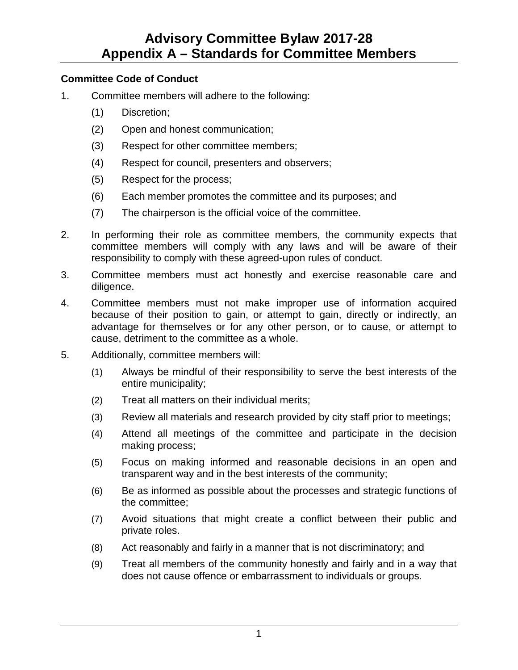## **Advisory Committee Bylaw 2017-28 Appendix A – Standards for Committee Members**

#### **Committee Code of Conduct**

- 1. Committee members will adhere to the following:
	- (1) Discretion;
	- (2) Open and honest communication;
	- (3) Respect for other committee members;
	- (4) Respect for council, presenters and observers;
	- (5) Respect for the process;
	- (6) Each member promotes the committee and its purposes; and
	- (7) The chairperson is the official voice of the committee.
- 2. In performing their role as committee members, the community expects that committee members will comply with any laws and will be aware of their responsibility to comply with these agreed-upon rules of conduct.
- 3. Committee members must act honestly and exercise reasonable care and diligence.
- 4. Committee members must not make improper use of information acquired because of their position to gain, or attempt to gain, directly or indirectly, an advantage for themselves or for any other person, or to cause, or attempt to cause, detriment to the committee as a whole.
- 5. Additionally, committee members will:
	- (1) Always be mindful of their responsibility to serve the best interests of the entire municipality;
	- (2) Treat all matters on their individual merits;
	- (3) Review all materials and research provided by city staff prior to meetings;
	- (4) Attend all meetings of the committee and participate in the decision making process;
	- (5) Focus on making informed and reasonable decisions in an open and transparent way and in the best interests of the community;
	- (6) Be as informed as possible about the processes and strategic functions of the committee;
	- (7) Avoid situations that might create a conflict between their public and private roles.
	- (8) Act reasonably and fairly in a manner that is not discriminatory; and
	- (9) Treat all members of the community honestly and fairly and in a way that does not cause offence or embarrassment to individuals or groups.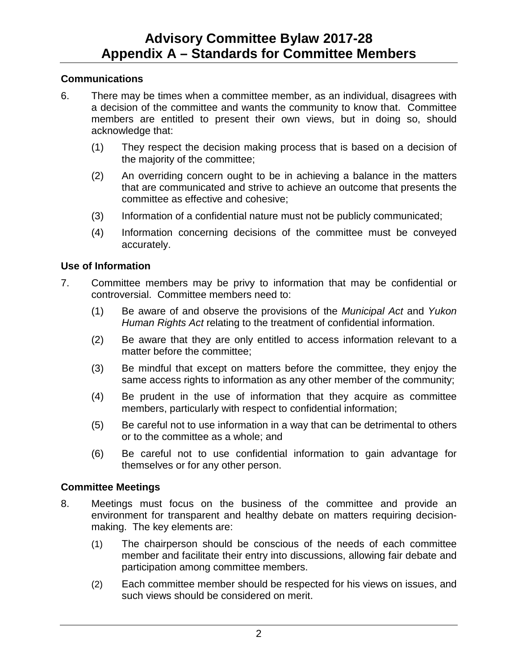## **Communications**

- 6. There may be times when a committee member, as an individual, disagrees with a decision of the committee and wants the community to know that. Committee members are entitled to present their own views, but in doing so, should acknowledge that:
	- (1) They respect the decision making process that is based on a decision of the majority of the committee;
	- (2) An overriding concern ought to be in achieving a balance in the matters that are communicated and strive to achieve an outcome that presents the committee as effective and cohesive;
	- (3) Information of a confidential nature must not be publicly communicated;
	- (4) Information concerning decisions of the committee must be conveyed accurately.

## **Use of Information**

- 7. Committee members may be privy to information that may be confidential or controversial. Committee members need to:
	- (1) Be aware of and observe the provisions of the *Municipal Act* and *Yukon Human Rights Act* relating to the treatment of confidential information.
	- (2) Be aware that they are only entitled to access information relevant to a matter before the committee;
	- (3) Be mindful that except on matters before the committee, they enjoy the same access rights to information as any other member of the community;
	- (4) Be prudent in the use of information that they acquire as committee members, particularly with respect to confidential information;
	- (5) Be careful not to use information in a way that can be detrimental to others or to the committee as a whole; and
	- (6) Be careful not to use confidential information to gain advantage for themselves or for any other person.

## **Committee Meetings**

- 8. Meetings must focus on the business of the committee and provide an environment for transparent and healthy debate on matters requiring decisionmaking. The key elements are:
	- (1) The chairperson should be conscious of the needs of each committee member and facilitate their entry into discussions, allowing fair debate and participation among committee members.
	- (2) Each committee member should be respected for his views on issues, and such views should be considered on merit.